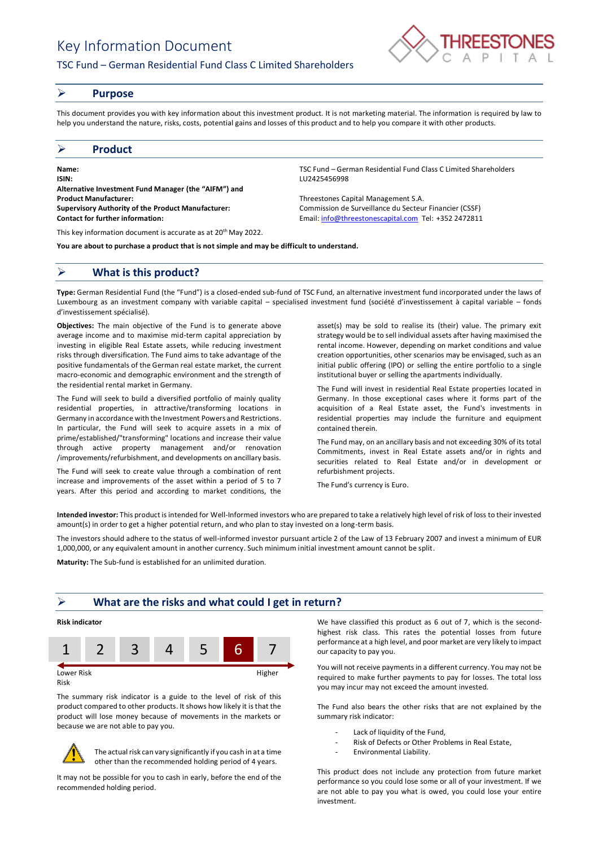# Key Information Document

# TSC Fund – German Residential Fund Class C Limited Shareholders



### ➢ **Purpose**

This document provides you with key information about this investment product. It is not marketing material. The information is required by law to help you understand the nature, risks, costs, potential gains and losses of this product and to help you compare it with other products.

## ➢ **Product**

**Name:** TSC Fund – German Residential Fund Class C Limited Shareholders **ISIN:** LU2425456998 **Alternative Investment Fund Manager (the "AIFM") and Product Manufacturer:** Threestones Capital Management S.A. **Supervisory Authority of the Product Manufacturer:** Commission de Surveillance du Secteur Financier (CSSF) **Contact for further information:** Email[: info@threestonescapital.com](mailto:info@threestonescapital.com) Tel: +352 2472811

This key information document is accurate as at 20th May 2022.

**You are about to purchase a product that is not simple and may be difficult to understand.**

# ➢ **What is this product?**

**Type:** German Residential Fund (the "Fund") is a closed-ended sub-fund of TSC Fund, an alternative investment fund incorporated under the laws of Luxembourg as an investment company with variable capital – specialised investment fund (société d'investissement à capital variable – fonds d'investissement spécialisé).

**Objectives:** The main objective of the Fund is to generate above average income and to maximise mid-term capital appreciation by investing in eligible Real Estate assets, while reducing investment risks through diversification. The Fund aims to take advantage of the positive fundamentals of the German real estate market, the current macro-economic and demographic environment and the strength of the residential rental market in Germany.

The Fund will seek to build a diversified portfolio of mainly quality residential properties, in attractive/transforming locations in Germany in accordance with the Investment Powers and Restrictions. In particular, the Fund will seek to acquire assets in a mix of prime/established/"transforming" locations and increase their value through active property management and/or renovation /improvements/refurbishment, and developments on ancillary basis.

The Fund will seek to create value through a combination of rent increase and improvements of the asset within a period of 5 to 7 years. After this period and according to market conditions, the

asset(s) may be sold to realise its (their) value. The primary exit strategy would be to sell individual assets after having maximised the rental income. However, depending on market conditions and value creation opportunities, other scenarios may be envisaged, such as an initial public offering (IPO) or selling the entire portfolio to a single institutional buyer or selling the apartments individually.

The Fund will invest in residential Real Estate properties located in Germany. In those exceptional cases where it forms part of the acquisition of a Real Estate asset, the Fund's investments in residential properties may include the furniture and equipment contained therein.

The Fund may, on an ancillary basis and not exceeding 30% of its total Commitments, invest in Real Estate assets and/or in rights and securities related to Real Estate and/or in development or refurbishment projects.

The Fund's currency is Euro.

**Intended investor:** This product is intended for Well-Informed investors who are prepared to take a relatively high level of risk of loss to their invested amount(s) in order to get a higher potential return, and who plan to stay invested on a long-term basis.

The investors should adhere to the status of well-informed investor pursuant article 2 of the Law of 13 February 2007 and invest a minimum of EUR 1,000,000, or any equivalent amount in another currency. Such minimum initial investment amount cannot be split.

**Maturity:** The Sub-fund is established for an unlimited duration.

# ➢ **What are the risks and what could I get in return?**

## **Risk indicator**



Risk

The summary risk indicator is a guide to the level of risk of this product compared to other products. It shows how likely it is that the product will lose money because of movements in the markets or because we are not able to pay you.



The actual risk can vary significantly if you cash in at a time other than the recommended holding period of 4 years.

It may not be possible for you to cash in early, before the end of the recommended holding period.

We have classified this product as 6 out of 7, which is the secondhighest risk class. This rates the potential losses from future performance at a high level, and poor market are very likely to impact our capacity to pay you.

You will not receive payments in a different currency. You may not be required to make further payments to pay for losses. The total loss you may incur may not exceed the amount invested.

The Fund also bears the other risks that are not explained by the summary risk indicator:

- Lack of liquidity of the Fund,
- Risk of Defects or Other Problems in Real Estate,
- Environmental Liability.

This product does not include any protection from future market performance so you could lose some or all of your investment. If we are not able to pay you what is owed, you could lose your entire investment.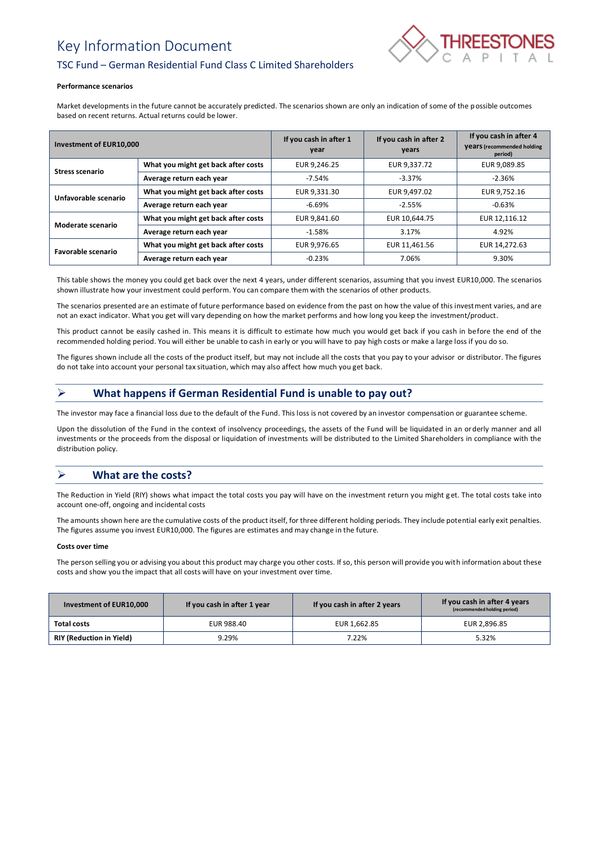# Key Information Document



# TSC Fund – German Residential Fund Class C Limited Shareholders

#### **Performance scenarios**

Market developments in the future cannot be accurately predicted. The scenarios shown are only an indication of some of the possible outcomes based on recent returns. Actual returns could be lower.

| Investment of EUR10,000 |                                     | If you cash in after 1<br>year | If you cash in after 2<br>years | If you cash in after 4<br><b>Vears</b> (recommended holding<br>period) |
|-------------------------|-------------------------------------|--------------------------------|---------------------------------|------------------------------------------------------------------------|
| <b>Stress scenario</b>  | What you might get back after costs | EUR 9,246.25                   | EUR 9,337.72                    | EUR 9,089.85                                                           |
|                         | Average return each year            | $-7.54%$                       | $-3.37\%$                       | $-2.36%$                                                               |
| Unfavorable scenario    | What you might get back after costs | EUR 9,331.30                   | EUR 9,497.02                    | EUR 9,752.16                                                           |
|                         | Average return each year            | $-6.69%$                       | $-2.55%$                        | $-0.63%$                                                               |
| Moderate scenario       | What you might get back after costs | EUR 9,841.60                   | EUR 10,644.75                   | EUR 12,116.12                                                          |
|                         | Average return each year            | $-1.58%$                       | 3.17%                           | 4.92%                                                                  |
| Favorable scenario      | What you might get back after costs | EUR 9,976.65                   | EUR 11,461.56                   | EUR 14,272.63                                                          |
|                         | Average return each year            | $-0.23%$                       | 7.06%                           | 9.30%                                                                  |

This table shows the money you could get back over the next 4 years, under different scenarios, assuming that you invest EUR10,000. The scenarios shown illustrate how your investment could perform. You can compare them with the scenarios of other products.

The scenarios presented are an estimate of future performance based on evidence from the past on how the value of this investment varies, and are not an exact indicator. What you get will vary depending on how the market performs and how long you keep the investment/product.

This product cannot be easily cashed in. This means it is difficult to estimate how much you would get back if you cash in before the end of the recommended holding period. You will either be unable to cash in early or you will have to pay high costs or make a large loss if you do so.

The figures shown include all the costs of the product itself, but may not include all the costs that you pay to your advisor or distributor. The figures do not take into account your personal tax situation, which may also affect how much you get back.

# ➢ **What happens if German Residential Fund is unable to pay out?**

The investor may face a financial loss due to the default of the Fund. This loss is not covered by an investor compensation or guarantee scheme.

Upon the dissolution of the Fund in the context of insolvency proceedings, the assets of the Fund will be liquidated in an orderly manner and all investments or the proceeds from the disposal or liquidation of investments will be distributed to the Limited Shareholders in compliance with the distribution policy.

# ➢ **What are the costs?**

The Reduction in Yield (RIY) shows what impact the total costs you pay will have on the investment return you might get. The total costs take into account one-off, ongoing and incidental costs

The amounts shown here are the cumulative costs of the product itself, for three different holding periods. They include potential early exit penalties. The figures assume you invest EUR10,000. The figures are estimates and may change in the future.

### **Costs over time**

The person selling you or advising you about this product may charge you other costs. If so, this person will provide you with information about these costs and show you the impact that all costs will have on your investment over time.

| Investment of EUR10,000         | If you cash in after 1 year | If you cash in after 2 years | If you cash in after 4 years<br>(recommended holding period) |
|---------------------------------|-----------------------------|------------------------------|--------------------------------------------------------------|
| Total costs                     | EUR 988.40                  | EUR 1,662.85                 | EUR 2.896.85                                                 |
| <b>RIY (Reduction in Yield)</b> | 9.29%                       | 7.22%                        | 5.32%                                                        |